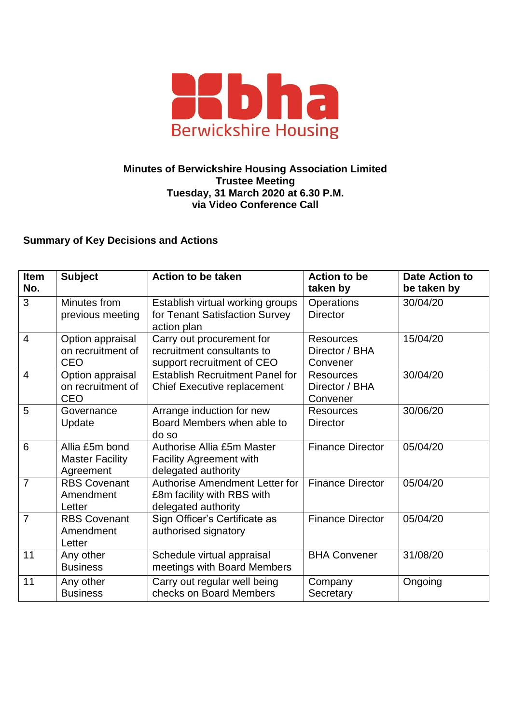

## **Minutes of Berwickshire Housing Association Limited Trustee Meeting Tuesday, 31 March 2020 at 6.30 P.M. via Video Conference Call**

## **Summary of Key Decisions and Actions**

| Item<br>No.    | <b>Subject</b>                                        | <b>Action to be taken</b>                                                             | <b>Action to be</b><br>taken by                | <b>Date Action to</b><br>be taken by |
|----------------|-------------------------------------------------------|---------------------------------------------------------------------------------------|------------------------------------------------|--------------------------------------|
| 3              | Minutes from<br>previous meeting                      | Establish virtual working groups<br>for Tenant Satisfaction Survey<br>action plan     | <b>Operations</b><br><b>Director</b>           | 30/04/20                             |
| $\overline{4}$ | Option appraisal<br>on recruitment of<br>CEO          | Carry out procurement for<br>recruitment consultants to<br>support recruitment of CEO | <b>Resources</b><br>Director / BHA<br>Convener | 15/04/20                             |
| $\overline{4}$ | Option appraisal<br>on recruitment of<br><b>CEO</b>   | <b>Establish Recruitment Panel for</b><br><b>Chief Executive replacement</b>          | <b>Resources</b><br>Director / BHA<br>Convener | 30/04/20                             |
| 5              | Governance<br>Update                                  | Arrange induction for new<br>Board Members when able to<br>do so                      | <b>Resources</b><br><b>Director</b>            | 30/06/20                             |
| 6              | Allia £5m bond<br><b>Master Facility</b><br>Agreement | Authorise Allia £5m Master<br><b>Facility Agreement with</b><br>delegated authority   | <b>Finance Director</b>                        | 05/04/20                             |
| 7              | <b>RBS Covenant</b><br>Amendment<br>Letter            | Authorise Amendment Letter for<br>£8m facility with RBS with<br>delegated authority   | <b>Finance Director</b>                        | 05/04/20                             |
| $\overline{7}$ | <b>RBS Covenant</b><br>Amendment<br>Letter            | Sign Officer's Certificate as<br>authorised signatory                                 | <b>Finance Director</b>                        | 05/04/20                             |
| 11             | Any other<br><b>Business</b>                          | Schedule virtual appraisal<br>meetings with Board Members                             | <b>BHA Convener</b>                            | 31/08/20                             |
| 11             | Any other<br><b>Business</b>                          | Carry out regular well being<br>checks on Board Members                               | Company<br>Secretary                           | Ongoing                              |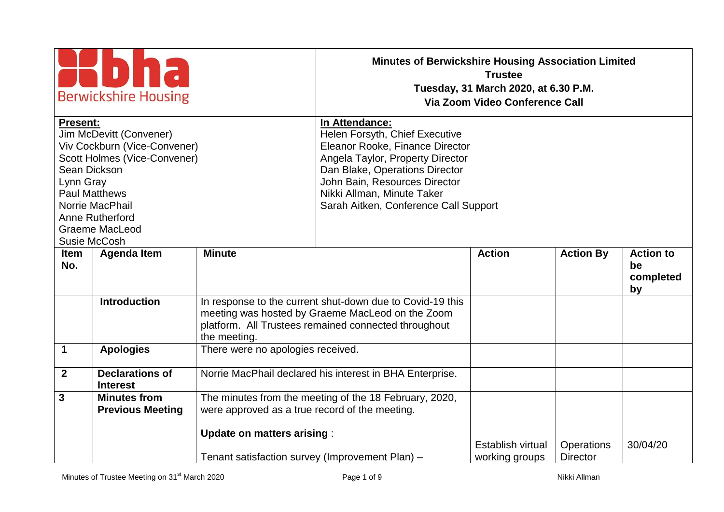| <b>Berwickshire Housing</b><br><b>Present:</b><br>Jim McDevitt (Convener)<br>Viv Cockburn (Vice-Convener)<br>Scott Holmes (Vice-Convener)<br>Sean Dickson<br>Lynn Gray<br><b>Paul Matthews</b><br>Norrie MacPhail<br>Anne Rutherford |                                                |                                                                                      | <b>Minutes of Berwickshire Housing Association Limited</b><br>In Attendance:<br>Helen Forsyth, Chief Executive<br>Eleanor Rooke, Finance Director<br>Angela Taylor, Property Director<br>Dan Blake, Operations Director<br>John Bain, Resources Director<br>Nikki Allman, Minute Taker<br>Sarah Aitken, Conference Call Support | <b>Trustee</b><br>Tuesday, 31 March 2020, at 6.30 P.M.<br>Via Zoom Video Conference Call |                                      |                                           |
|--------------------------------------------------------------------------------------------------------------------------------------------------------------------------------------------------------------------------------------|------------------------------------------------|--------------------------------------------------------------------------------------|---------------------------------------------------------------------------------------------------------------------------------------------------------------------------------------------------------------------------------------------------------------------------------------------------------------------------------|------------------------------------------------------------------------------------------|--------------------------------------|-------------------------------------------|
| <b>Graeme MacLeod</b><br>Susie McCosh                                                                                                                                                                                                |                                                |                                                                                      |                                                                                                                                                                                                                                                                                                                                 |                                                                                          |                                      |                                           |
| <b>Item</b><br>No.                                                                                                                                                                                                                   | <b>Agenda Item</b>                             | <b>Minute</b>                                                                        |                                                                                                                                                                                                                                                                                                                                 | <b>Action</b>                                                                            | <b>Action By</b>                     | <b>Action to</b><br>be<br>completed<br>by |
|                                                                                                                                                                                                                                      | <b>Introduction</b>                            | the meeting.                                                                         | In response to the current shut-down due to Covid-19 this<br>meeting was hosted by Graeme MacLeod on the Zoom<br>platform. All Trustees remained connected throughout                                                                                                                                                           |                                                                                          |                                      |                                           |
| 1                                                                                                                                                                                                                                    | <b>Apologies</b>                               | There were no apologies received.                                                    |                                                                                                                                                                                                                                                                                                                                 |                                                                                          |                                      |                                           |
| $2^{\circ}$                                                                                                                                                                                                                          | <b>Declarations of</b><br><b>Interest</b>      |                                                                                      | Norrie MacPhail declared his interest in BHA Enterprise.                                                                                                                                                                                                                                                                        |                                                                                          |                                      |                                           |
| 3                                                                                                                                                                                                                                    | <b>Minutes from</b><br><b>Previous Meeting</b> | were approved as a true record of the meeting.                                       | The minutes from the meeting of the 18 February, 2020,                                                                                                                                                                                                                                                                          |                                                                                          |                                      |                                           |
|                                                                                                                                                                                                                                      |                                                | <b>Update on matters arising:</b><br>Tenant satisfaction survey (Improvement Plan) - |                                                                                                                                                                                                                                                                                                                                 | <b>Establish virtual</b><br>working groups                                               | <b>Operations</b><br><b>Director</b> | 30/04/20                                  |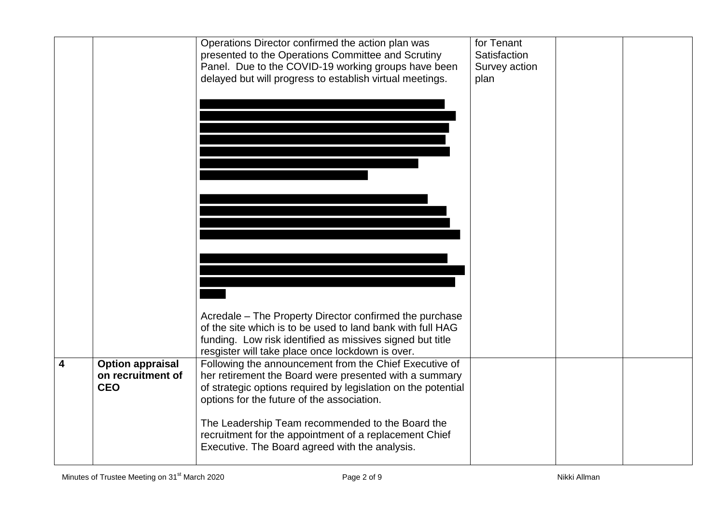|                         |                                                            | Operations Director confirmed the action plan was<br>presented to the Operations Committee and Scrutiny<br>Panel. Due to the COVID-19 working groups have been                                                                  | for Tenant<br>Satisfaction |  |
|-------------------------|------------------------------------------------------------|---------------------------------------------------------------------------------------------------------------------------------------------------------------------------------------------------------------------------------|----------------------------|--|
|                         |                                                            | delayed but will progress to establish virtual meetings.                                                                                                                                                                        | Survey action<br>plan      |  |
|                         |                                                            |                                                                                                                                                                                                                                 |                            |  |
|                         |                                                            |                                                                                                                                                                                                                                 |                            |  |
|                         |                                                            |                                                                                                                                                                                                                                 |                            |  |
|                         |                                                            |                                                                                                                                                                                                                                 |                            |  |
|                         |                                                            |                                                                                                                                                                                                                                 |                            |  |
|                         |                                                            |                                                                                                                                                                                                                                 |                            |  |
|                         |                                                            |                                                                                                                                                                                                                                 |                            |  |
|                         |                                                            | Acredale – The Property Director confirmed the purchase                                                                                                                                                                         |                            |  |
|                         |                                                            | of the site which is to be used to land bank with full HAG<br>funding. Low risk identified as missives signed but title<br>resgister will take place once lockdown is over.                                                     |                            |  |
| $\overline{\mathbf{4}}$ | <b>Option appraisal</b><br>on recruitment of<br><b>CEO</b> | Following the announcement from the Chief Executive of<br>her retirement the Board were presented with a summary<br>of strategic options required by legislation on the potential<br>options for the future of the association. |                            |  |
|                         |                                                            | The Leadership Team recommended to the Board the<br>recruitment for the appointment of a replacement Chief<br>Executive. The Board agreed with the analysis.                                                                    |                            |  |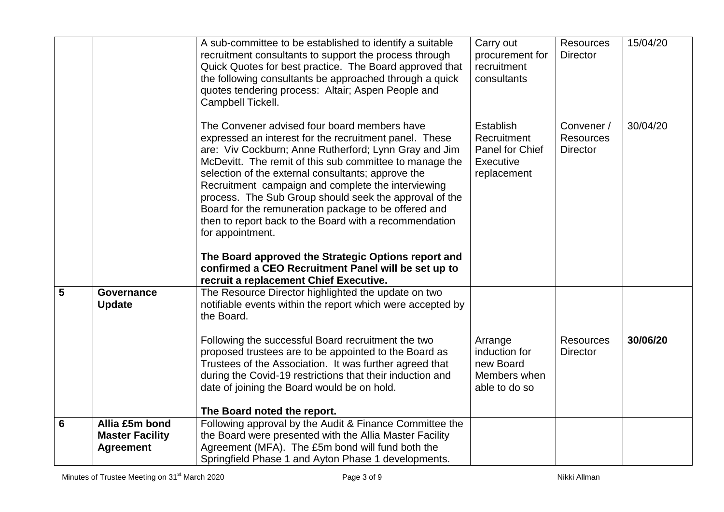|   |                                          | A sub-committee to be established to identify a suitable<br>recruitment consultants to support the process through<br>Quick Quotes for best practice. The Board approved that<br>the following consultants be approached through a quick<br>quotes tendering process: Altair; Aspen People and<br>Campbell Tickell.                                                                                                                                                                                                                                                                           | Carry out<br>procurement for<br>recruitment<br>consultants              | <b>Resources</b><br><b>Director</b>               | 15/04/20 |
|---|------------------------------------------|-----------------------------------------------------------------------------------------------------------------------------------------------------------------------------------------------------------------------------------------------------------------------------------------------------------------------------------------------------------------------------------------------------------------------------------------------------------------------------------------------------------------------------------------------------------------------------------------------|-------------------------------------------------------------------------|---------------------------------------------------|----------|
|   |                                          | The Convener advised four board members have<br>expressed an interest for the recruitment panel. These<br>are: Viv Cockburn; Anne Rutherford; Lynn Gray and Jim<br>McDevitt. The remit of this sub committee to manage the<br>selection of the external consultants; approve the<br>Recruitment campaign and complete the interviewing<br>process. The Sub Group should seek the approval of the<br>Board for the remuneration package to be offered and<br>then to report back to the Board with a recommendation<br>for appointment.<br>The Board approved the Strategic Options report and | Establish<br>Recruitment<br>Panel for Chief<br>Executive<br>replacement | Convener /<br><b>Resources</b><br><b>Director</b> | 30/04/20 |
|   |                                          | confirmed a CEO Recruitment Panel will be set up to<br>recruit a replacement Chief Executive.                                                                                                                                                                                                                                                                                                                                                                                                                                                                                                 |                                                                         |                                                   |          |
| 5 | Governance<br><b>Update</b>              | The Resource Director highlighted the update on two<br>notifiable events within the report which were accepted by<br>the Board.                                                                                                                                                                                                                                                                                                                                                                                                                                                               |                                                                         |                                                   |          |
|   |                                          | Following the successful Board recruitment the two<br>proposed trustees are to be appointed to the Board as<br>Trustees of the Association. It was further agreed that<br>during the Covid-19 restrictions that their induction and<br>date of joining the Board would be on hold.                                                                                                                                                                                                                                                                                                            | Arrange<br>induction for<br>new Board<br>Members when<br>able to do so  | <b>Resources</b><br><b>Director</b>               | 30/06/20 |
|   |                                          | The Board noted the report.                                                                                                                                                                                                                                                                                                                                                                                                                                                                                                                                                                   |                                                                         |                                                   |          |
| 6 | Allia £5m bond<br><b>Master Facility</b> | Following approval by the Audit & Finance Committee the<br>the Board were presented with the Allia Master Facility                                                                                                                                                                                                                                                                                                                                                                                                                                                                            |                                                                         |                                                   |          |
|   | <b>Agreement</b>                         | Agreement (MFA). The £5m bond will fund both the                                                                                                                                                                                                                                                                                                                                                                                                                                                                                                                                              |                                                                         |                                                   |          |
|   |                                          | Springfield Phase 1 and Ayton Phase 1 developments.                                                                                                                                                                                                                                                                                                                                                                                                                                                                                                                                           |                                                                         |                                                   |          |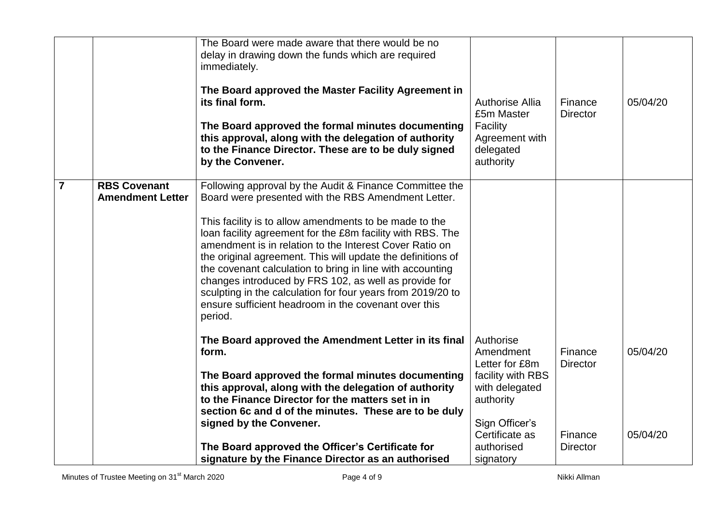|                |                                                | The Board were made aware that there would be no<br>delay in drawing down the funds which are required<br>immediately.<br>The Board approved the Master Facility Agreement in<br>its final form.<br>The Board approved the formal minutes documenting<br>this approval, along with the delegation of authority<br>to the Finance Director. These are to be duly signed<br>by the Convener.                                                                                                                                                                                                                               | <b>Authorise Allia</b><br>£5m Master<br>Facility<br>Agreement with<br>delegated<br>authority                                     | Finance<br><b>Director</b>            | 05/04/20             |
|----------------|------------------------------------------------|--------------------------------------------------------------------------------------------------------------------------------------------------------------------------------------------------------------------------------------------------------------------------------------------------------------------------------------------------------------------------------------------------------------------------------------------------------------------------------------------------------------------------------------------------------------------------------------------------------------------------|----------------------------------------------------------------------------------------------------------------------------------|---------------------------------------|----------------------|
| $\overline{7}$ | <b>RBS Covenant</b><br><b>Amendment Letter</b> | Following approval by the Audit & Finance Committee the<br>Board were presented with the RBS Amendment Letter.<br>This facility is to allow amendments to be made to the<br>loan facility agreement for the £8m facility with RBS. The<br>amendment is in relation to the Interest Cover Ratio on<br>the original agreement. This will update the definitions of<br>the covenant calculation to bring in line with accounting<br>changes introduced by FRS 102, as well as provide for<br>sculpting in the calculation for four years from 2019/20 to<br>ensure sufficient headroom in the covenant over this<br>period. |                                                                                                                                  |                                       |                      |
|                |                                                | The Board approved the Amendment Letter in its final<br>form.<br>The Board approved the formal minutes documenting<br>this approval, along with the delegation of authority<br>to the Finance Director for the matters set in in<br>section 6c and d of the minutes. These are to be duly<br>signed by the Convener.                                                                                                                                                                                                                                                                                                     | Authorise<br>Amendment<br>Letter for £8m<br>facility with RBS<br>with delegated<br>authority<br>Sign Officer's<br>Certificate as | Finance<br><b>Director</b><br>Finance | 05/04/20<br>05/04/20 |
|                |                                                | The Board approved the Officer's Certificate for<br>signature by the Finance Director as an authorised                                                                                                                                                                                                                                                                                                                                                                                                                                                                                                                   | authorised<br>signatory                                                                                                          | <b>Director</b>                       |                      |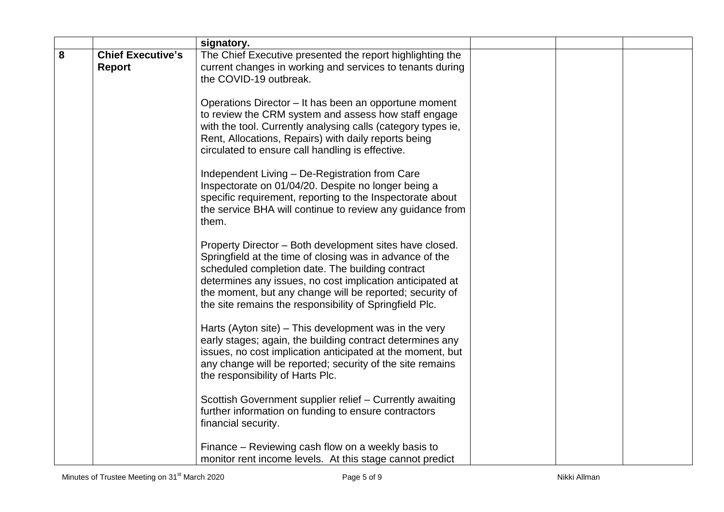|   |                                           | signatory.                                                                                                                                                                                                                                                                                                                                                  |  |  |
|---|-------------------------------------------|-------------------------------------------------------------------------------------------------------------------------------------------------------------------------------------------------------------------------------------------------------------------------------------------------------------------------------------------------------------|--|--|
| 8 | <b>Chief Executive's</b><br><b>Report</b> | The Chief Executive presented the report highlighting the<br>current changes in working and services to tenants during<br>the COVID-19 outbreak.                                                                                                                                                                                                            |  |  |
|   |                                           | Operations Director - It has been an opportune moment<br>to review the CRM system and assess how staff engage<br>with the tool. Currently analysing calls (category types ie,<br>Rent, Allocations, Repairs) with daily reports being<br>circulated to ensure call handling is effective.                                                                   |  |  |
|   |                                           | Independent Living - De-Registration from Care<br>Inspectorate on 01/04/20. Despite no longer being a<br>specific requirement, reporting to the Inspectorate about<br>the service BHA will continue to review any guidance from<br>them.                                                                                                                    |  |  |
|   |                                           | Property Director - Both development sites have closed.<br>Springfield at the time of closing was in advance of the<br>scheduled completion date. The building contract<br>determines any issues, no cost implication anticipated at<br>the moment, but any change will be reported; security of<br>the site remains the responsibility of Springfield Plc. |  |  |
|   |                                           | Harts (Ayton site) – This development was in the very<br>early stages; again, the building contract determines any<br>issues, no cost implication anticipated at the moment, but<br>any change will be reported; security of the site remains<br>the responsibility of Harts Plc.                                                                           |  |  |
|   |                                           | Scottish Government supplier relief - Currently awaiting<br>further information on funding to ensure contractors<br>financial security.                                                                                                                                                                                                                     |  |  |
|   |                                           | Finance – Reviewing cash flow on a weekly basis to<br>monitor rent income levels. At this stage cannot predict                                                                                                                                                                                                                                              |  |  |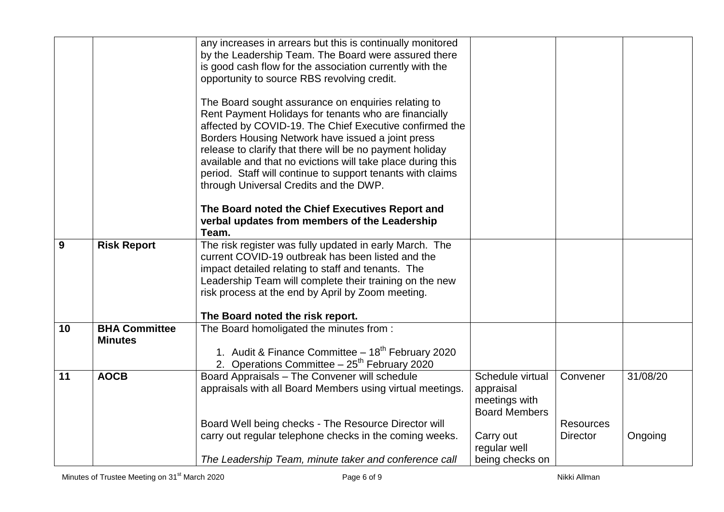|    |                      | any increases in arrears but this is continually monitored                                                                |                                       |                  |          |
|----|----------------------|---------------------------------------------------------------------------------------------------------------------------|---------------------------------------|------------------|----------|
|    |                      | by the Leadership Team. The Board were assured there<br>is good cash flow for the association currently with the          |                                       |                  |          |
|    |                      | opportunity to source RBS revolving credit.                                                                               |                                       |                  |          |
|    |                      |                                                                                                                           |                                       |                  |          |
|    |                      | The Board sought assurance on enquiries relating to<br>Rent Payment Holidays for tenants who are financially              |                                       |                  |          |
|    |                      | affected by COVID-19. The Chief Executive confirmed the                                                                   |                                       |                  |          |
|    |                      | Borders Housing Network have issued a joint press                                                                         |                                       |                  |          |
|    |                      | release to clarify that there will be no payment holiday                                                                  |                                       |                  |          |
|    |                      | available and that no evictions will take place during this<br>period. Staff will continue to support tenants with claims |                                       |                  |          |
|    |                      | through Universal Credits and the DWP.                                                                                    |                                       |                  |          |
|    |                      |                                                                                                                           |                                       |                  |          |
|    |                      | The Board noted the Chief Executives Report and<br>verbal updates from members of the Leadership                          |                                       |                  |          |
|    |                      | Team.                                                                                                                     |                                       |                  |          |
| 9  | <b>Risk Report</b>   | The risk register was fully updated in early March. The                                                                   |                                       |                  |          |
|    |                      | current COVID-19 outbreak has been listed and the<br>impact detailed relating to staff and tenants. The                   |                                       |                  |          |
|    |                      | Leadership Team will complete their training on the new                                                                   |                                       |                  |          |
|    |                      | risk process at the end by April by Zoom meeting.                                                                         |                                       |                  |          |
|    |                      | The Board noted the risk report.                                                                                          |                                       |                  |          |
| 10 | <b>BHA Committee</b> | The Board homoligated the minutes from :                                                                                  |                                       |                  |          |
|    | <b>Minutes</b>       | 1. Audit & Finance Committee - 18 <sup>th</sup> February 2020                                                             |                                       |                  |          |
|    |                      | 2. Operations Committee $-25^{th}$ February 2020                                                                          |                                       |                  |          |
| 11 | <b>AOCB</b>          | Board Appraisals - The Convener will schedule                                                                             | Schedule virtual                      | Convener         | 31/08/20 |
|    |                      | appraisals with all Board Members using virtual meetings.                                                                 | appraisal                             |                  |          |
|    |                      |                                                                                                                           | meetings with<br><b>Board Members</b> |                  |          |
|    |                      | Board Well being checks - The Resource Director will                                                                      |                                       | <b>Resources</b> |          |
|    |                      | carry out regular telephone checks in the coming weeks.                                                                   | Carry out                             | <b>Director</b>  | Ongoing  |
|    |                      | The Leadership Team, minute taker and conference call                                                                     | regular well<br>being checks on       |                  |          |
|    |                      |                                                                                                                           |                                       |                  |          |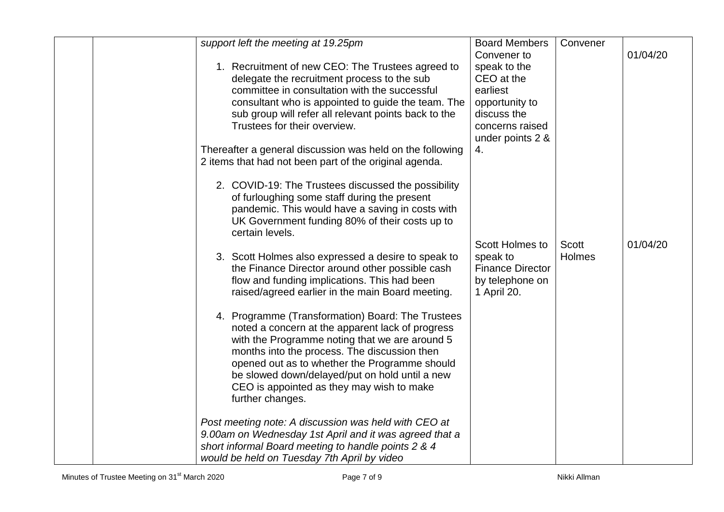| support left the meeting at 19.25pm                                                                                                                                                                                                                                                                                                                                                                                                                                                                                                                                                                                                                                                                                                                                                                                                                                                                                                                                                                                                               | <b>Board Members</b>                                                                                                                | Convener        |          |
|---------------------------------------------------------------------------------------------------------------------------------------------------------------------------------------------------------------------------------------------------------------------------------------------------------------------------------------------------------------------------------------------------------------------------------------------------------------------------------------------------------------------------------------------------------------------------------------------------------------------------------------------------------------------------------------------------------------------------------------------------------------------------------------------------------------------------------------------------------------------------------------------------------------------------------------------------------------------------------------------------------------------------------------------------|-------------------------------------------------------------------------------------------------------------------------------------|-----------------|----------|
| 1. Recruitment of new CEO: The Trustees agreed to<br>delegate the recruitment process to the sub<br>committee in consultation with the successful<br>consultant who is appointed to guide the team. The<br>sub group will refer all relevant points back to the<br>Trustees for their overview.<br>Thereafter a general discussion was held on the following<br>2 items that had not been part of the original agenda.                                                                                                                                                                                                                                                                                                                                                                                                                                                                                                                                                                                                                            | Convener to<br>speak to the<br>CEO at the<br>earliest<br>opportunity to<br>discuss the<br>concerns raised<br>under points 2 &<br>4. |                 | 01/04/20 |
| 2. COVID-19: The Trustees discussed the possibility<br>of furloughing some staff during the present<br>pandemic. This would have a saving in costs with<br>UK Government funding 80% of their costs up to<br>certain levels.<br>3. Scott Holmes also expressed a desire to speak to<br>the Finance Director around other possible cash<br>flow and funding implications. This had been<br>raised/agreed earlier in the main Board meeting.<br>4. Programme (Transformation) Board: The Trustees<br>noted a concern at the apparent lack of progress<br>with the Programme noting that we are around 5<br>months into the process. The discussion then<br>opened out as to whether the Programme should<br>be slowed down/delayed/put on hold until a new<br>CEO is appointed as they may wish to make<br>further changes.<br>Post meeting note: A discussion was held with CEO at<br>9.00am on Wednesday 1st April and it was agreed that a<br>short informal Board meeting to handle points 2 & 4<br>would be held on Tuesday 7th April by video | <b>Scott Holmes to</b><br>speak to<br><b>Finance Director</b><br>by telephone on<br>1 April 20.                                     | Scott<br>Holmes | 01/04/20 |